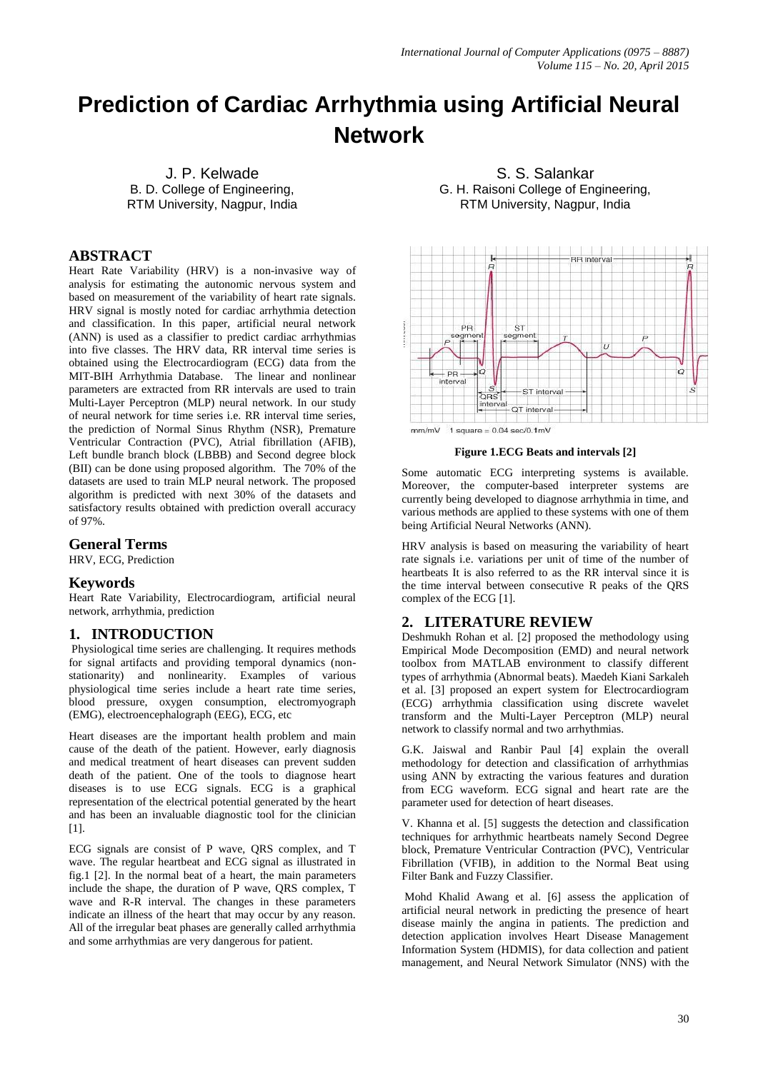# **Prediction of Cardiac Arrhythmia using Artificial Neural Network**

J. P. Kelwade B. D. College of Engineering, RTM University, Nagpur, India

# **ABSTRACT**

Heart Rate Variability (HRV) is a non-invasive way of analysis for estimating the autonomic nervous system and based on measurement of the variability of heart rate signals. HRV signal is mostly noted for cardiac arrhythmia detection and classification. In this paper, artificial neural network (ANN) is used as a classifier to predict cardiac arrhythmias into five classes. The HRV data, RR interval time series is obtained using the Electrocardiogram (ECG) data from the MIT-BIH Arrhythmia Database. The linear and nonlinear parameters are extracted from RR intervals are used to train Multi-Layer Perceptron (MLP) neural network. In our study of neural network for time series i.e. RR interval time series, the prediction of Normal Sinus Rhythm (NSR), Premature Ventricular Contraction (PVC), Atrial fibrillation (AFIB), Left bundle branch block (LBBB) and Second degree block (BII) can be done using proposed algorithm. The 70% of the datasets are used to train MLP neural network. The proposed algorithm is predicted with next 30% of the datasets and satisfactory results obtained with prediction overall accuracy of 97%.

## **General Terms**

HRV, ECG, Prediction

## **Keywords**

Heart Rate Variability, Electrocardiogram, artificial neural network, arrhythmia, prediction

## **1. INTRODUCTION**

Physiological time series are challenging. It requires methods for signal artifacts and providing temporal dynamics (nonstationarity) and nonlinearity. Examples of various physiological time series include a heart rate time series, blood pressure, oxygen consumption, electromyograph (EMG), electroencephalograph (EEG), ECG, etc

Heart diseases are the important health problem and main cause of the death of the patient. However, early diagnosis and medical treatment of heart diseases can prevent sudden death of the patient. One of the tools to diagnose heart diseases is to use ECG signals. ECG is a graphical representation of the electrical potential generated by the heart and has been an invaluable diagnostic tool for the clinician [1].

ECG signals are consist of P wave, QRS complex, and T wave. The regular heartbeat and ECG signal as illustrated in fig.1 [2]. In the normal beat of a heart, the main parameters include the shape, the duration of P wave, QRS complex, T wave and R-R interval. The changes in these parameters indicate an illness of the heart that may occur by any reason. All of the irregular beat phases are generally called arrhythmia and some arrhythmias are very dangerous for patient.

S. S. Salankar G. H. Raisoni College of Engineering, RTM University, Nagpur, India



**Figure 1.ECG Beats and intervals [2]**

Some automatic ECG interpreting systems is available. Moreover, the computer-based interpreter systems are currently being developed to diagnose arrhythmia in time, and various methods are applied to these systems with one of them being Artificial Neural Networks (ANN).

HRV analysis is based on measuring the variability of heart rate signals i.e. variations per unit of time of the number of heartbeats It is also referred to as the RR interval since it is the time interval between consecutive R peaks of the QRS complex of the ECG [1].

## **2. LITERATURE REVIEW**

Deshmukh Rohan et al. [2] proposed the methodology using Empirical Mode Decomposition (EMD) and neural network toolbox from MATLAB environment to classify different types of arrhythmia (Abnormal beats). Maedeh Kiani Sarkaleh et al. [3] proposed an expert system for Electrocardiogram (ECG) arrhythmia classification using discrete wavelet transform and the Multi-Layer Perceptron (MLP) neural network to classify normal and two arrhythmias.

G.K. Jaiswal and Ranbir Paul [4] explain the overall methodology for detection and classification of arrhythmias using ANN by extracting the various features and duration from ECG waveform. ECG signal and heart rate are the parameter used for detection of heart diseases.

V. Khanna et al. [5] suggests the detection and classification techniques for arrhythmic heartbeats namely Second Degree block, Premature Ventricular Contraction (PVC), Ventricular Fibrillation (VFIB), in addition to the Normal Beat using Filter Bank and Fuzzy Classifier.

Mohd Khalid Awang et al. [6] assess the application of artificial neural network in predicting the presence of heart disease mainly the angina in patients. The prediction and detection application involves Heart Disease Management Information System (HDMIS), for data collection and patient management, and Neural Network Simulator (NNS) with the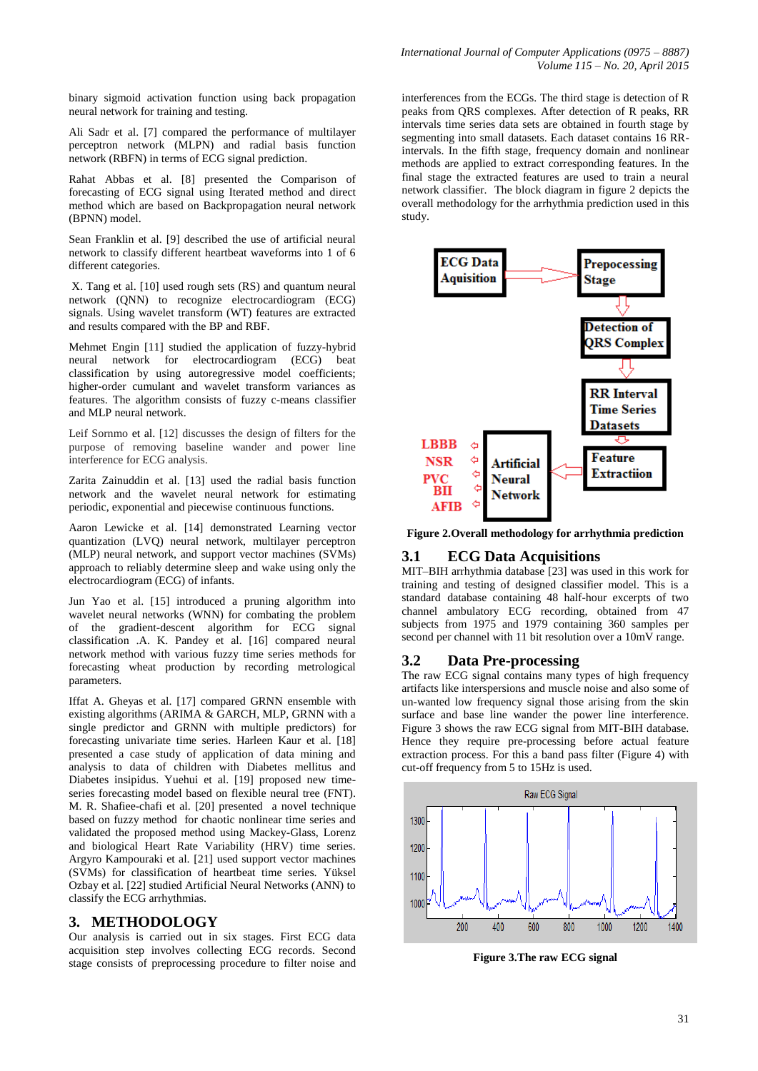binary sigmoid activation function using back propagation neural network for training and testing.

Ali Sadr et al. [7] compared the performance of multilayer perceptron network (MLPN) and radial basis function network (RBFN) in terms of ECG signal prediction.

Rahat Abbas et al. [8] presented the Comparison of forecasting of ECG signal using Iterated method and direct method which are based on Backpropagation neural network (BPNN) model.

Sean Franklin et al. [9] described the use of artificial neural network to classify different heartbeat waveforms into 1 of 6 different categories.

X. Tang et al. [10] used rough sets (RS) and quantum neural network (QNN) to recognize electrocardiogram (ECG) signals. Using wavelet transform (WT) features are extracted and results compared with the BP and RBF.

Mehmet Engin [11] studied the application of fuzzy-hybrid neural network for electrocardiogram (ECG) beat classification by using autoregressive model coefficients; higher-order cumulant and wavelet transform variances as features. The algorithm consists of fuzzy c-means classifier and MLP neural network.

Leif Sornmo et al. [12] discusses the design of filters for the purpose of removing baseline wander and power line interference for ECG analysis.

Zarita Zainuddin et al. [13] used the radial basis function network and the wavelet neural network for estimating periodic, exponential and piecewise continuous functions.

Aaron Lewicke et al. [14] demonstrated Learning vector quantization (LVQ) neural network, multilayer perceptron (MLP) neural network, and support vector machines (SVMs) approach to reliably determine sleep and wake using only the electrocardiogram (ECG) of infants.

Jun Yao et al. [15] introduced a pruning algorithm into wavelet neural networks (WNN) for combating the problem of the gradient-descent algorithm for ECG signal classification .A. K. Pandey et al. [16] compared neural network method with various fuzzy time series methods for forecasting wheat production by recording metrological parameters.

Iffat A. Gheyas et al. [17] compared GRNN ensemble with existing algorithms (ARIMA & GARCH, MLP, GRNN with a single predictor and GRNN with multiple predictors) for forecasting univariate time series. Harleen Kaur et al. [18] presented a case study of application of data mining and analysis to data of children with Diabetes mellitus and Diabetes insipidus. Yuehui et al. [19] proposed new timeseries forecasting model based on flexible neural tree (FNT). M. R. Shafiee-chafi et al. [20] presented a novel technique based on fuzzy method for chaotic nonlinear time series and validated the proposed method using Mackey-Glass, Lorenz and biological Heart Rate Variability (HRV) time series. Argyro Kampouraki et al. [21] used support vector machines (SVMs) for classification of heartbeat time series. Yüksel Ozbay et al. [22] studied Artificial Neural Networks (ANN) to classify the ECG arrhythmias.

## **3. METHODOLOGY**

Our analysis is carried out in six stages. First ECG data acquisition step involves collecting ECG records. Second stage consists of preprocessing procedure to filter noise and interferences from the ECGs. The third stage is detection of R peaks from QRS complexes. After detection of R peaks, RR intervals time series data sets are obtained in fourth stage by segmenting into small datasets. Each dataset contains 16 RRintervals. In the fifth stage, frequency domain and nonlinear methods are applied to extract corresponding features. In the final stage the extracted features are used to train a neural network classifier. The block diagram in figure 2 depicts the overall methodology for the arrhythmia prediction used in this study.



**Figure 2.Overall methodology for arrhythmia prediction**

## **3.1 ECG Data Acquisitions**

MIT–BIH arrhythmia database [23] was used in this work for training and testing of designed classifier model. This is a standard database containing 48 half-hour excerpts of two channel ambulatory ECG recording, obtained from 47 subjects from 1975 and 1979 containing 360 samples per second per channel with 11 bit resolution over a 10mV range.

## **3.2 Data Pre-processing**

The raw ECG signal contains many types of high frequency artifacts like interspersions and muscle noise and also some of un-wanted low frequency signal those arising from the skin surface and base line wander the power line interference. Figure 3 shows the raw ECG signal from MIT-BIH database. Hence they require pre-processing before actual feature extraction process. For this a band pass filter (Figure 4) with cut-off frequency from 5 to 15Hz is used.



**Figure 3.The raw ECG signal**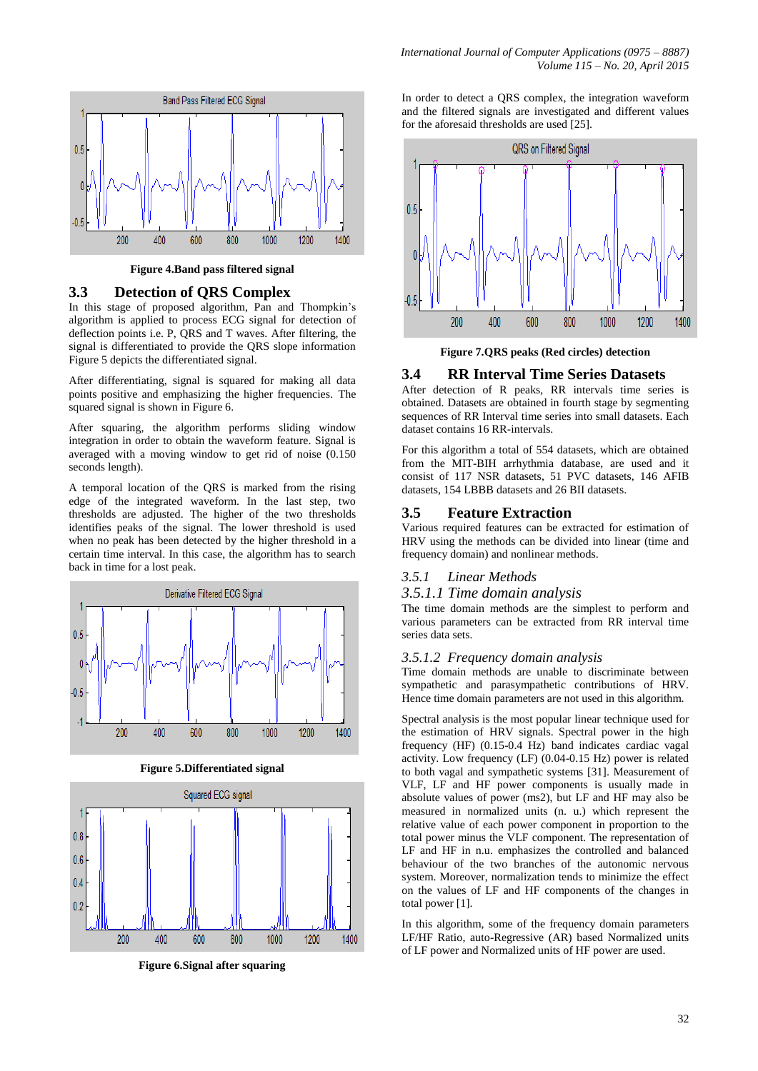

**Figure 4.Band pass filtered signal**

## **3.3 Detection of QRS Complex**

In this stage of proposed algorithm, Pan and Thompkin's algorithm is applied to process ECG signal for detection of deflection points i.e. P, QRS and T waves. After filtering, the signal is differentiated to provide the QRS slope information Figure 5 depicts the differentiated signal.

After differentiating, signal is squared for making all data points positive and emphasizing the higher frequencies. The squared signal is shown in Figure 6.

After squaring, the algorithm performs sliding window integration in order to obtain the waveform feature. Signal is averaged with a moving window to get rid of noise (0.150 seconds length).

A temporal location of the QRS is marked from the rising edge of the integrated waveform. In the last step, two thresholds are adjusted. The higher of the two thresholds identifies peaks of the signal. The lower threshold is used when no peak has been detected by the higher threshold in a certain time interval. In this case, the algorithm has to search back in time for a lost peak.



**Figure 5.Differentiated signal**



**Figure 6.Signal after squaring**

In order to detect a QRS complex, the integration waveform and the filtered signals are investigated and different values for the aforesaid thresholds are used [25].



**Figure 7.QRS peaks (Red circles) detection**

## **3.4 RR Interval Time Series Datasets**

After detection of R peaks, RR intervals time series is obtained. Datasets are obtained in fourth stage by segmenting sequences of RR Interval time series into small datasets. Each dataset contains 16 RR-intervals.

For this algorithm a total of 554 datasets, which are obtained from the MIT-BIH arrhythmia database, are used and it consist of 117 NSR datasets, 51 PVC datasets, 146 AFIB datasets, 154 LBBB datasets and 26 BII datasets.

## **3.5 Feature Extraction**

Various required features can be extracted for estimation of HRV using the methods can be divided into linear (time and frequency domain) and nonlinear methods.

## *3.5.1 Linear Methods*

## *3.5.1.1 Time domain analysis*

The time domain methods are the simplest to perform and various parameters can be extracted from RR interval time series data sets.

#### *3.5.1.2 Frequency domain analysis*

Time domain methods are unable to discriminate between sympathetic and parasympathetic contributions of HRV. Hence time domain parameters are not used in this algorithm.

Spectral analysis is the most popular linear technique used for the estimation of HRV signals. Spectral power in the high frequency (HF) (0.15-0.4 Hz) band indicates cardiac vagal activity. Low frequency (LF) (0.04-0.15 Hz) power is related to both vagal and sympathetic systems [31]. Measurement of VLF, LF and HF power components is usually made in absolute values of power (ms2), but LF and HF may also be measured in normalized units (n. u.) which represent the relative value of each power component in proportion to the total power minus the VLF component. The representation of LF and HF in n.u. emphasizes the controlled and balanced behaviour of the two branches of the autonomic nervous system. Moreover, normalization tends to minimize the effect on the values of LF and HF components of the changes in total power [1].

In this algorithm, some of the frequency domain parameters LF/HF Ratio, auto-Regressive (AR) based Normalized units of LF power and Normalized units of HF power are used.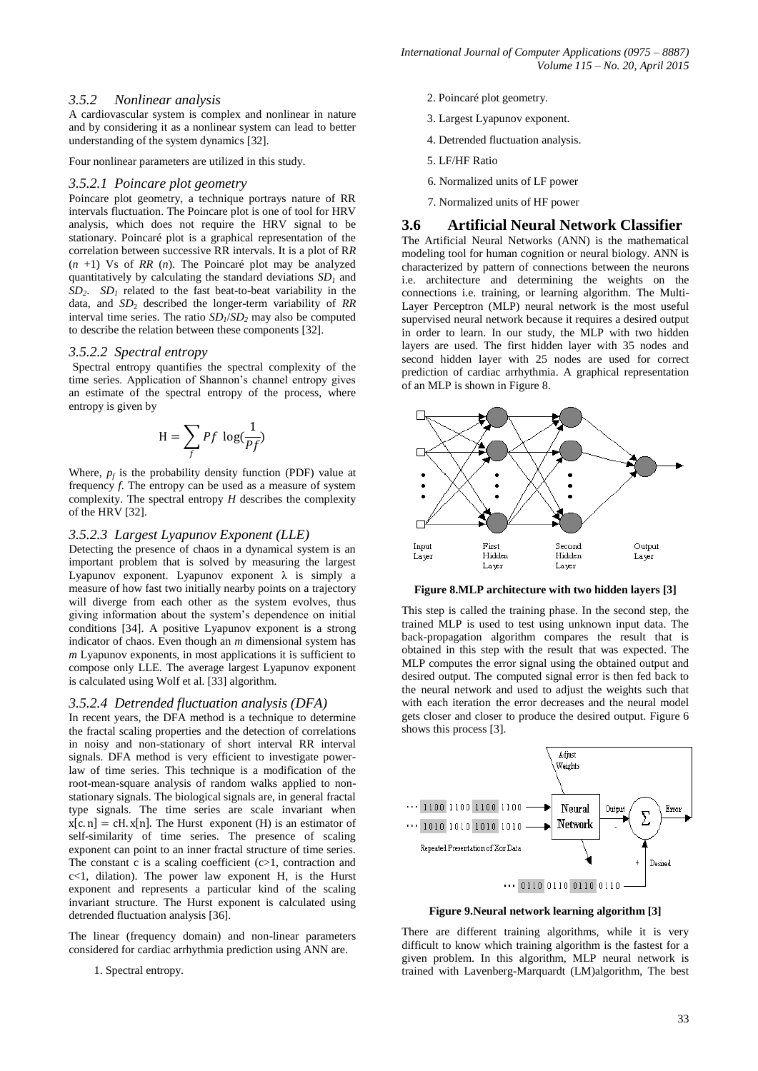## *3.5.2 Nonlinear analysis*

A cardiovascular system is complex and nonlinear in nature and by considering it as a nonlinear system can lead to better understanding of the system dynamics [32].

Four nonlinear parameters are utilized in this study.

#### *3.5.2.1 Poincare plot geometry*

Poincare plot geometry, a technique portrays nature of RR intervals fluctuation. The Poincare plot is one of tool for HRV analysis, which does not require the HRV signal to be stationary. Poincaré plot is a graphical representation of the correlation between successive RR intervals. It is a plot of R*R* (*n* +1) Vs of *RR* (*n*). The Poincaré plot may be analyzed quantitatively by calculating the standard deviations *SD<sup>1</sup>* and  $SD_2$ .  $SD_1$  related to the fast beat-to-beat variability in the data, and *SD*<sub>2</sub> described the longer-term variability of *RR* interval time series. The ratio *SD<sup>1</sup>* /*SD<sup>2</sup>* may also be computed to describe the relation between these components [32].

#### *3.5.2.2 Spectral entropy*

Spectral entropy quantifies the spectral complexity of the time series. Application of Shannon's channel entropy gives an estimate of the spectral entropy of the process, where entropy is given by

$$
H = \sum_{f} Pf \log(\frac{1}{Pf})
$$

Where,  $p_f$  is the probability density function (PDF) value at frequency *f*. The entropy can be used as a measure of system complexity. The spectral entropy *H* describes the complexity of the HRV [32].

#### *3.5.2.3 Largest Lyapunov Exponent (LLE)*

Detecting the presence of chaos in a dynamical system is an important problem that is solved by measuring the largest Lyapunov exponent. Lyapunov exponent  $\lambda$  is simply a measure of how fast two initially nearby points on a trajectory will diverge from each other as the system evolves, thus giving information about the system's dependence on initial conditions [34]. A positive Lyapunov exponent is a strong indicator of chaos. Even though an *m* dimensional system has *m* Lyapunov exponents, in most applications it is sufficient to compose only LLE. The average largest Lyapunov exponent is calculated using Wolf et al. [33] algorithm.

#### *3.5.2.4 Detrended fluctuation analysis (DFA)*

In recent years, the DFA method is a technique to determine the fractal scaling properties and the detection of correlations in noisy and non-stationary of short interval RR interval signals. DFA method is very efficient to investigate powerlaw of time series. This technique is a modification of the root-mean-square analysis of random walks applied to nonstationary signals. The biological signals are, in general fractal type signals. The time series are scale invariant when  $x[c. n] = cH. x[n]$ . The Hurst exponent (H) is an estimator of self-similarity of time series. The presence of scaling exponent can point to an inner fractal structure of time series. The constant c is a scaling coefficient  $(c>1,$  contraction and c<1, dilation). The power law exponent H, is the Hurst exponent and represents a particular kind of the scaling invariant structure. The Hurst exponent is calculated using detrended fluctuation analysis [36].

The linear (frequency domain) and non-linear parameters considered for cardiac arrhythmia prediction using ANN are.

#### 1. Spectral entropy.

- 2. Poincaré plot geometry.
- 3. Largest Lyapunov exponent.
- 4. Detrended fluctuation analysis.
- 5. LF/HF Ratio
- 6. Normalized units of LF power
- 7. Normalized units of HF power

#### **3.6 Artificial Neural Network Classifier**

The Artificial Neural Networks (ANN) is the mathematical modeling tool for human cognition or neural biology. ANN is characterized by pattern of connections between the neurons i.e. architecture and determining the weights on the connections i.e. training, or learning algorithm. The Multi-Layer Perceptron (MLP) neural network is the most useful supervised neural network because it requires a desired output in order to learn. In our study, the MLP with two hidden layers are used. The first hidden layer with 35 nodes and second hidden layer with 25 nodes are used for correct prediction of cardiac arrhythmia. A graphical representation of an MLP is shown in Figure 8.



**Figure 8.MLP architecture with two hidden layers [3]**

This step is called the training phase. In the second step, the trained MLP is used to test using unknown input data. The back-propagation algorithm compares the result that is obtained in this step with the result that was expected. The MLP computes the error signal using the obtained output and desired output. The computed signal error is then fed back to the neural network and used to adjust the weights such that with each iteration the error decreases and the neural model gets closer and closer to produce the desired output. Figure 6 shows this process [3].



#### **Figure 9.Neural network learning algorithm [3]**

There are different training algorithms, while it is very difficult to know which training algorithm is the fastest for a given problem. In this algorithm, MLP neural network is trained with Lavenberg-Marquardt (LM)algorithm, The best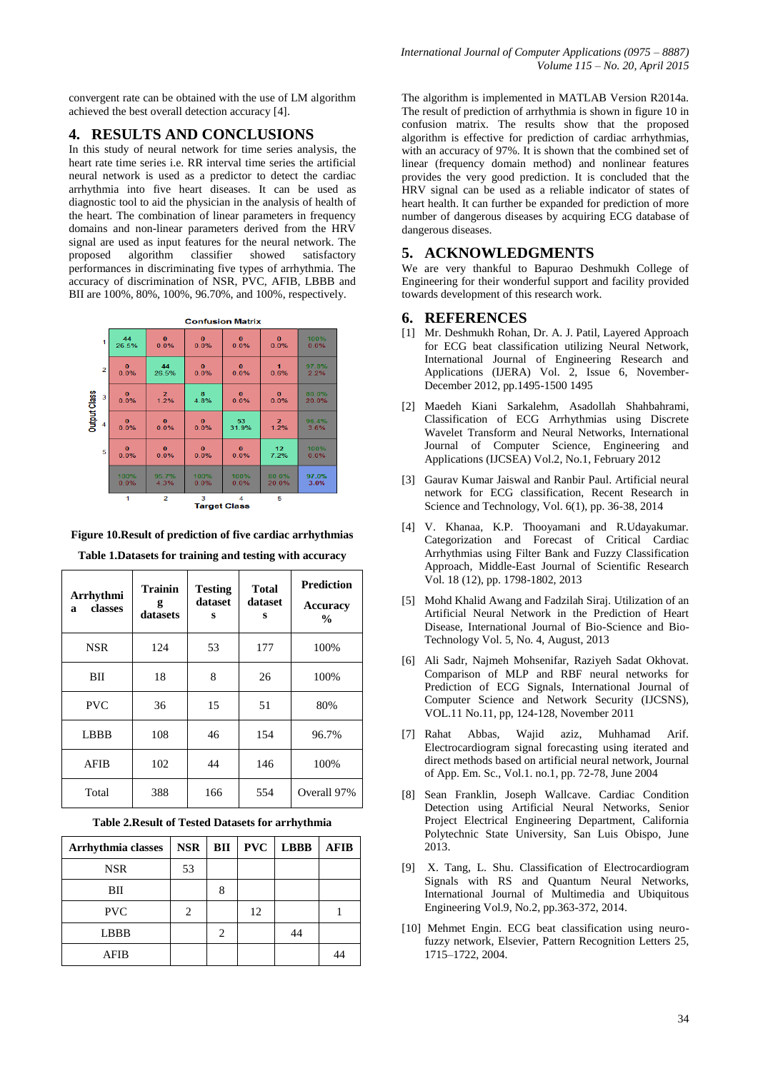convergent rate can be obtained with the use of LM algorithm achieved the best overall detection accuracy [4].

# **4. RESULTS AND CONCLUSIONS**

In this study of neural network for time series analysis, the heart rate time series i.e. RR interval time series the artificial neural network is used as a predictor to detect the cardiac arrhythmia into five heart diseases. It can be used as diagnostic tool to aid the physician in the analysis of health of the heart. The combination of linear parameters in frequency domains and non-linear parameters derived from the HRV signal are used as input features for the neural network. The proposed algorithm classifier showed satisfactory performances in discriminating five types of arrhythmia. The accuracy of discrimination of NSR, PVC, AFIB, LBBB and BII are 100%, 80%, 100%, 96.70%, and 100%, respectively.

**Confusion Matrix** 

| $\overline{2}$                                            | $\bf{0}$ | 44             | $\mathbf{o}$ | $\bf{0}$ | $\mathbf{1}$    | 97.8% |  |  |  |
|-----------------------------------------------------------|----------|----------------|--------------|----------|-----------------|-------|--|--|--|
|                                                           | 0.0%     | 26.5%          | 0.0%         | 0.0%     | 0.6%            | 2.2%  |  |  |  |
| <b>Output Class</b>                                       | $\bf{0}$ | $\overline{2}$ | 8            | $\bf{0}$ | $\bf{0}$        | 80.0% |  |  |  |
| 3                                                         | 0.0%     | 1.2%           | 4.8%         | 0.0%     | 0.0%            | 20.0% |  |  |  |
| 4                                                         | $\bf{0}$ | $\bf{0}$       | $\bf{0}$     | 53       | $\mathbf{2}$    | 96.4% |  |  |  |
|                                                           | 0.0%     | 0.0%           | 0.0%         | 31.9%    | 1.2%            | 3.6%  |  |  |  |
| 5                                                         | $\bf{0}$ | $\bf{0}$       | $\bf{0}$     | $\bf{0}$ | 12 <sub>2</sub> | 100%  |  |  |  |
|                                                           | 0.0%     | 0.0%           | 0.0%         | 0.0%     | 7.2%            | 0.0%  |  |  |  |
|                                                           | 100%     | 95.7%          | 100%         | 100%     | 80.0%           | 97.0% |  |  |  |
|                                                           | 0.0%     | 4.3%           | 0.0%         | 0.0%     | 20.0%           | 3.0%  |  |  |  |
| $\overline{2}$<br>3<br>5<br>1<br>4<br><b>Target Class</b> |          |                |              |          |                 |       |  |  |  |

| Arrhythmi<br>classes<br>a | <b>Trainin</b><br>g<br>datasets | <b>Testing</b><br>dataset<br>s | <b>Total</b><br>dataset<br>s | <b>Prediction</b><br>Accuracy<br>$\frac{0}{0}$ |
|---------------------------|---------------------------------|--------------------------------|------------------------------|------------------------------------------------|
| <b>NSR</b>                | 124                             | 53                             | 177                          | 100%                                           |
| ВH                        | 18                              | 8                              | 26                           | 100%                                           |
| <b>PVC</b>                | 36                              | 15                             | 51                           | 80%                                            |
| <b>LBBB</b>               | 108                             | 46                             | 154                          | 96.7%                                          |
| AFIB                      | 102                             | 44                             | 146                          | 100%                                           |
| Total                     | 388                             | 166                            | 554                          | Overall 97%                                    |

**Figure 10.Result of prediction of five cardiac arrhythmias Table 1.Datasets for training and testing with accuracy** 

**Table 2.Result of Tested Datasets for arrhythmia**

| <b>Arrhythmia classes</b> | <b>NSR</b>     | BII | <b>PVC</b> | <b>LBBB</b> | <b>AFIB</b> |
|---------------------------|----------------|-----|------------|-------------|-------------|
| <b>NSR</b>                | 53             |     |            |             |             |
| BП                        |                | 8   |            |             |             |
| <b>PVC</b>                | $\mathfrak{D}$ |     | 12         |             |             |
| <b>LBBB</b>               |                | 2   |            | 44          |             |
| AFIB                      |                |     |            |             |             |

The algorithm is implemented in MATLAB Version R2014a. The result of prediction of arrhythmia is shown in figure 10 in confusion matrix. The results show that the proposed algorithm is effective for prediction of cardiac arrhythmias, with an accuracy of 97%. It is shown that the combined set of linear (frequency domain method) and nonlinear features provides the very good prediction. It is concluded that the HRV signal can be used as a reliable indicator of states of heart health. It can further be expanded for prediction of more number of dangerous diseases by acquiring ECG database of dangerous diseases.

# **5. ACKNOWLEDGMENTS**

We are very thankful to Bapurao Deshmukh College of Engineering for their wonderful support and facility provided towards development of this research work.

## **6. REFERENCES**

- [1] Mr. Deshmukh Rohan, Dr. A. J. Patil, Layered Approach for ECG beat classification utilizing Neural Network, International Journal of Engineering Research and Applications (IJERA) Vol. 2, Issue 6, November-December 2012, pp.1495-1500 1495
- [2] Maedeh Kiani Sarkalehm, Asadollah Shahbahrami, Classification of ECG Arrhythmias using Discrete Wavelet Transform and Neural Networks, International Journal of Computer Science, Engineering and Applications (IJCSEA) Vol.2, No.1, February 2012
- [3] Gaurav Kumar Jaiswal and Ranbir Paul. Artificial neural network for ECG classification, Recent Research in Science and Technology, Vol. 6(1), pp. 36-38, 2014
- [4] V. Khanaa, K.P. Thooyamani and R.Udayakumar. Categorization and Forecast of Critical Cardiac Arrhythmias using Filter Bank and Fuzzy Classification Approach, Middle-East Journal of Scientific Research Vol. 18 (12), pp. 1798-1802, 2013
- [5] Mohd Khalid Awang and Fadzilah Siraj. Utilization of an Artificial Neural Network in the Prediction of Heart Disease, International Journal of Bio-Science and Bio-Technology Vol. 5, No. 4, August, 2013
- [6] Ali Sadr, Najmeh Mohsenifar, Raziyeh Sadat Okhovat. Comparison of MLP and RBF neural networks for Prediction of ECG Signals, International Journal of Computer Science and Network Security (IJCSNS), VOL.11 No.11, pp, 124-128, November 2011
- [7] Rahat Abbas, Wajid aziz, Muhhamad Arif. Electrocardiogram signal forecasting using iterated and direct methods based on artificial neural network, Journal of App. Em. Sc., Vol.1. no.1, pp. 72-78, June 2004
- [8] Sean Franklin, Joseph Wallcave. Cardiac Condition Detection using Artificial Neural Networks, Senior Project Electrical Engineering Department, California Polytechnic State University, San Luis Obispo, June 2013.
- [9] X. Tang, L. Shu. Classification of Electrocardiogram Signals with RS and Quantum Neural Networks, International Journal of Multimedia and Ubiquitous Engineering Vol.9, No.2, pp.363-372, 2014.
- [10] Mehmet Engin. ECG beat classification using neurofuzzy network, Elsevier, Pattern Recognition Letters 25, 1715–1722, 2004.